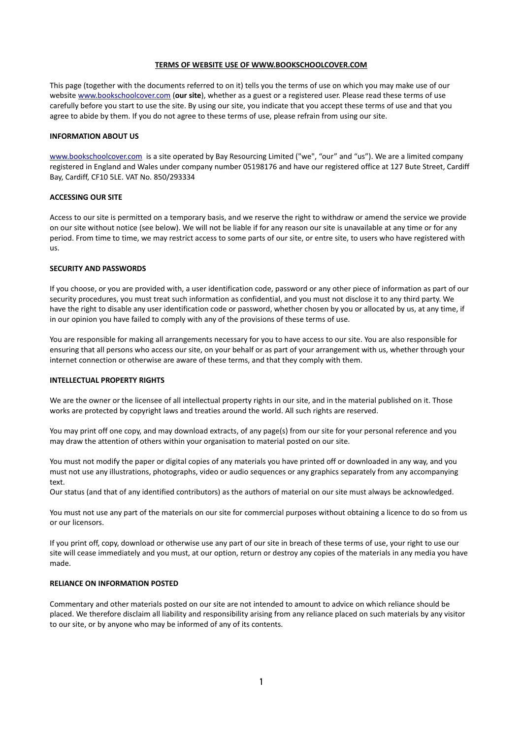### **TERMS OF WEBSITE USE OF WWW.BOOKSCHOOLCOVER.COM**

This page (together with the documents referred to on it) tells you the terms of use on which you may make use of our website [www.bookschoolcover.com](https://www.bookschoolcover.com/) (**our site**), whether as a guest or a registered user. Please read these terms of use carefully before you start to use the site. By using our site, you indicate that you accept these terms of use and that you agree to abide by them. If you do not agree to these terms of use, please refrain from using our site.

#### **INFORMATION ABOUT US**

[www.bookschoolcover.com](https://www.bookschoolcover.com/) is a site operated by Bay Resourcing Limited ("we", "our" and "us"). We are a limited company registered in England and Wales under company number 05198176 and have our registered office at 127 Bute Street, Cardiff Bay, Cardiff, CF10 5LE. VAT No. 850/293334

# **ACCESSING OUR SITE**

Access to our site is permitted on a temporary basis, and we reserve the right to withdraw or amend the service we provide on our site without notice (see below). We will not be liable if for any reason our site is unavailable at any time or for any period. From time to time, we may restrict access to some parts of our site, or entre site, to users who have registered with us.

#### **SECURITY AND PASSWORDS**

If you choose, or you are provided with, a user identification code, password or any other piece of information as part of our security procedures, you must treat such information as confidential, and you must not disclose it to any third party. We have the right to disable any user identification code or password, whether chosen by you or allocated by us, at any time, if in our opinion you have failed to comply with any of the provisions of these terms of use.

You are responsible for making all arrangements necessary for you to have access to our site. You are also responsible for ensuring that all persons who access our site, on your behalf or as part of your arrangement with us, whether through your internet connection or otherwise are aware of these terms, and that they comply with them.

### **INTELLECTUAL PROPERTY RIGHTS**

We are the owner or the licensee of all intellectual property rights in our site, and in the material published on it. Those works are protected by copyright laws and treaties around the world. All such rights are reserved.

You may print off one copy, and may download extracts, of any page(s) from our site for your personal reference and you may draw the attention of others within your organisation to material posted on our site.

You must not modify the paper or digital copies of any materials you have printed off or downloaded in any way, and you must not use any illustrations, photographs, video or audio sequences or any graphics separately from any accompanying text.

Our status (and that of any identified contributors) as the authors of material on our site must always be acknowledged.

You must not use any part of the materials on our site for commercial purposes without obtaining a licence to do so from us or our licensors.

If you print off, copy, download or otherwise use any part of our site in breach of these terms of use, your right to use our site will cease immediately and you must, at our option, return or destroy any copies of the materials in any media you have made.

## **RELIANCE ON INFORMATION POSTED**

Commentary and other materials posted on our site are not intended to amount to advice on which reliance should be placed. We therefore disclaim all liability and responsibility arising from any reliance placed on such materials by any visitor to our site, or by anyone who may be informed of any of its contents.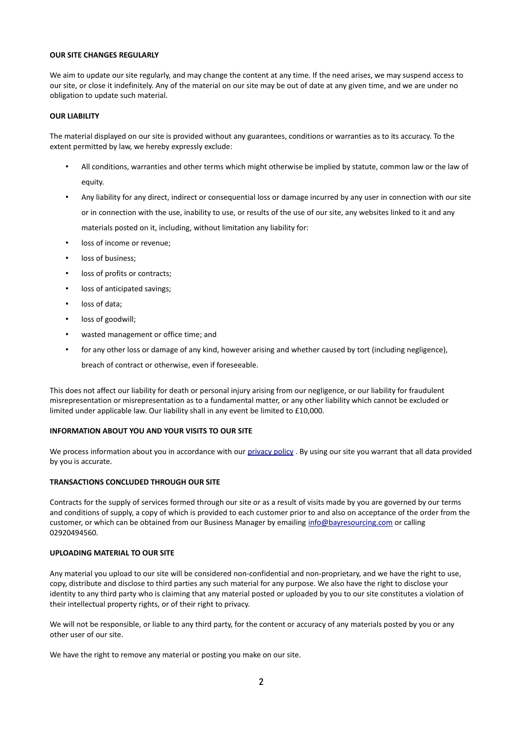# **OUR SITE CHANGES REGULARLY**

We aim to update our site regularly, and may change the content at any time. If the need arises, we may suspend access to our site, or close it indefinitely. Any of the material on our site may be out of date at any given time, and we are under no obligation to update such material.

## **OUR LIABILITY**

The material displayed on our site is provided without any guarantees, conditions or warranties as to its accuracy. To the extent permitted by law, we hereby expressly exclude:

- All conditions, warranties and other terms which might otherwise be implied by statute, common law or the law of equity.
- Any liability for any direct, indirect or consequential loss or damage incurred by any user in connection with our site or in connection with the use, inability to use, or results of the use of our site, any websites linked to it and any materials posted on it, including, without limitation any liability for:
- loss of income or revenue;
- loss of business;
- loss of profits or contracts;
- loss of anticipated savings;
- loss of data;
- loss of goodwill;
- wasted management or office time; and
- for any other loss or damage of any kind, however arising and whether caused by tort (including negligence),

breach of contract or otherwise, even if foreseeable.

This does not affect our liability for death or personal injury arising from our negligence, or our liability for fraudulent misrepresentation or misrepresentation as to a fundamental matter, or any other liability which cannot be excluded or limited under applicable law. Our liability shall in any event be limited to £10,000.

# **INFORMATION ABOUT YOU AND YOUR VISITS TO OUR SITE**

We process information about you in accordance with our [privacy policy](http://www.bayresourcing.com/cmsPages/view/Privacy-Policy) . By using our site you warrant that all data provided by you is accurate.

## **TRANSACTIONS CONCLUDED THROUGH OUR SITE**

Contracts for the supply of services formed through our site or as a result of visits made by you are governed by our terms and conditions of supply, a copy of which is provided to each customer prior to and also on acceptance of the order from the customer, or which can be obtained from our Business Manager by emailing [info@bayresourcing.com](mailto:info@bayresourcing.com) or calling 02920494560.

## **UPLOADING MATERIAL TO OUR SITE**

Any material you upload to our site will be considered non-confidential and non-proprietary, and we have the right to use, copy, distribute and disclose to third parties any such material for any purpose. We also have the right to disclose your identity to any third party who is claiming that any material posted or uploaded by you to our site constitutes a violation of their intellectual property rights, or of their right to privacy.

We will not be responsible, or liable to any third party, for the content or accuracy of any materials posted by you or any other user of our site.

We have the right to remove any material or posting you make on our site.